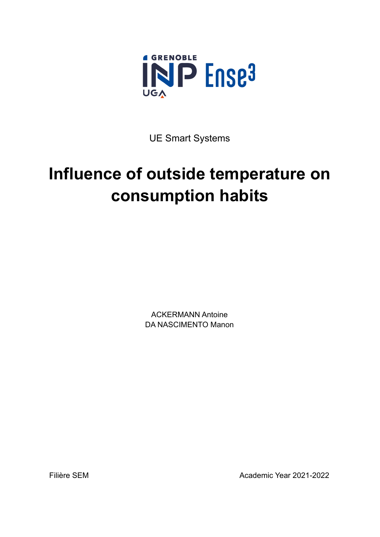

UE Smart Systems

# **Influence of outside temperature on consumption habits**

ACKERMANN Antoine DA NASCIMENTO Manon

Filière SEM Academic Year 2021-2022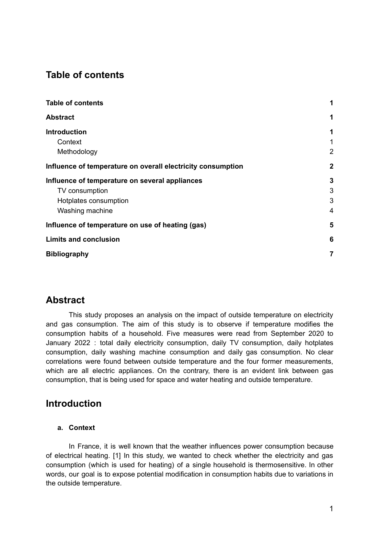# <span id="page-1-0"></span>**Table of contents**

| <b>Table of contents</b>                                    | 1              |
|-------------------------------------------------------------|----------------|
| <b>Abstract</b>                                             | 1              |
| <b>Introduction</b>                                         | 1              |
| Context                                                     | 1              |
| Methodology                                                 | $\overline{2}$ |
| Influence of temperature on overall electricity consumption | $\mathbf{2}$   |
| Influence of temperature on several appliances              | $\mathbf{3}$   |
| TV consumption                                              | 3              |
| Hotplates consumption                                       | 3              |
| Washing machine                                             | 4              |
| Influence of temperature on use of heating (gas)            | 5              |
| <b>Limits and conclusion</b>                                | 6              |
| <b>Bibliography</b>                                         | $\overline{7}$ |

# <span id="page-1-1"></span>**Abstract**

This study proposes an analysis on the impact of outside temperature on electricity and gas consumption. The aim of this study is to observe if temperature modifies the consumption habits of a household. Five measures were read from September 2020 to January 2022 : total daily electricity consumption, daily TV consumption, daily hotplates consumption, daily washing machine consumption and daily gas consumption. No clear correlations were found between outside temperature and the four former measurements, which are all electric appliances. On the contrary, there is an evident link between gas consumption, that is being used for space and water heating and outside temperature.

## <span id="page-1-2"></span>**Introduction**

### <span id="page-1-3"></span>**a. Context**

In France, it is well known that the weather influences power consumption because of electrical heating. [\[1\]](https://www.zotero.org/google-docs/?mckQCd) In this study, we wanted to check whether the electricity and gas consumption (which is used for heating) of a single household is thermosensitive. In other words, our goal is to expose potential modification in consumption habits due to variations in the outside temperature.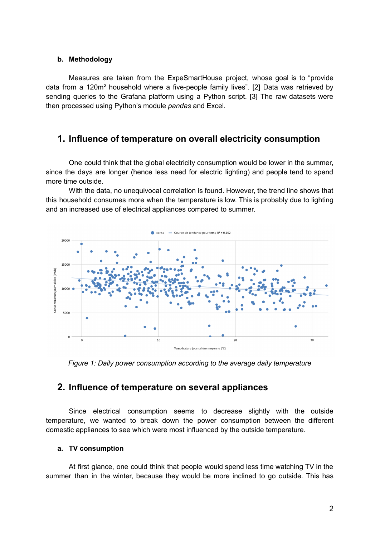#### <span id="page-2-0"></span>**b. Methodology**

Measures are taken from the ExpeSmartHouse project, whose goal is to "provide data from a 120m² household where a five-people family lives". [\[2\]](https://www.zotero.org/google-docs/?OXq3bd) Data was retrieved by sending queries to the Grafana platform using a Python script. [\[3\]](https://www.zotero.org/google-docs/?rRnzsi) The raw datasets were then processed using Python's module *pandas* and Excel.

# <span id="page-2-1"></span>**1. Influence of temperature on overall electricity consumption**

One could think that the global electricity consumption would be lower in the summer, since the days are longer (hence less need for electric lighting) and people tend to spend more time outside.

With the data, no unequivocal correlation is found. However, the trend line shows that this household consumes more when the temperature is low. This is probably due to lighting and an increased use of electrical appliances compared to summer.



*Figure 1: Daily power consumption according to the average daily temperature*

## <span id="page-2-2"></span>**2. Influence of temperature on several appliances**

Since electrical consumption seems to decrease slightly with the outside temperature, we wanted to break down the power consumption between the different domestic appliances to see which were most influenced by the outside temperature.

#### <span id="page-2-3"></span>**a. TV consumption**

At first glance, one could think that people would spend less time watching TV in the summer than in the winter, because they would be more inclined to go outside. This has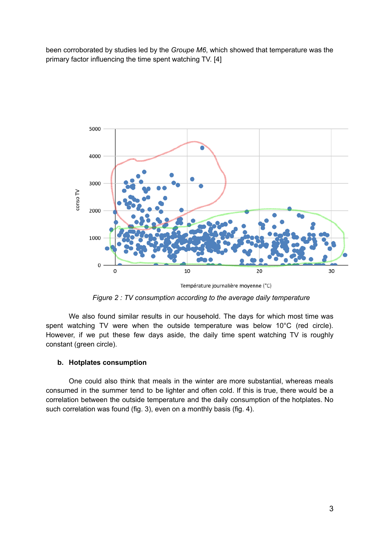been corroborated by studies led by the *Groupe M6*, which showed that temperature was the primary factor influencing the time spent watching TV. [\[4\]](https://www.zotero.org/google-docs/?0pdDIO)



Température journalière moyenne (°C)

*Figure 2 : TV consumption according to the average daily temperature*

We also found similar results in our household. The days for which most time was spent watching TV were when the outside temperature was below 10°C (red circle). However, if we put these few days aside, the daily time spent watching TV is roughly constant (green circle).

### <span id="page-3-0"></span>**b. Hotplates consumption**

One could also think that meals in the winter are more substantial, whereas meals consumed in the summer tend to be lighter and often cold. If this is true, there would be a correlation between the outside temperature and the daily consumption of the hotplates. No such correlation was found (fig. 3), even on a monthly basis (fig. 4).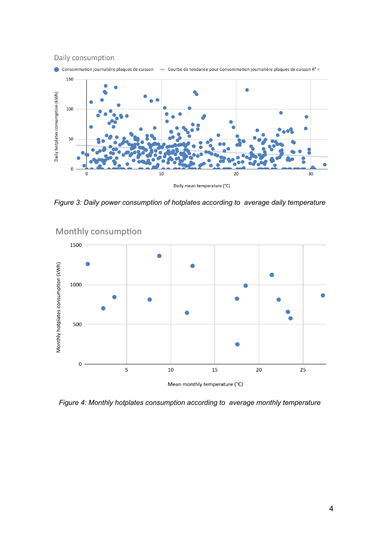

*Figure 3: Daily power consumption of hotplates according to average daily temperature*



Monthly consumption

*Figure 4: Monthly hotplates consumption according to average monthly temperature*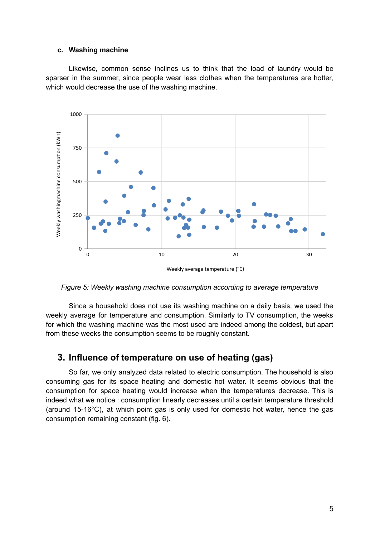#### <span id="page-5-0"></span>**c. Washing machine**

Likewise, common sense inclines us to think that the load of laundry would be sparser in the summer, since people wear less clothes when the temperatures are hotter, which would decrease the use of the washing machine.



*Figure 5: Weekly washing machine consumption according to average temperature*

Since a household does not use its washing machine on a daily basis, we used the weekly average for temperature and consumption. Similarly to TV consumption, the weeks for which the washing machine was the most used are indeed among the coldest, but apart from these weeks the consumption seems to be roughly constant.

## <span id="page-5-1"></span>**3. Influence of temperature on use of heating (gas)**

So far, we only analyzed data related to electric consumption. The household is also consuming gas for its space heating and domestic hot water. It seems obvious that the consumption for space heating would increase when the temperatures decrease. This is indeed what we notice : consumption linearly decreases until a certain temperature threshold (around 15-16°C), at which point gas is only used for domestic hot water, hence the gas consumption remaining constant (fig. 6).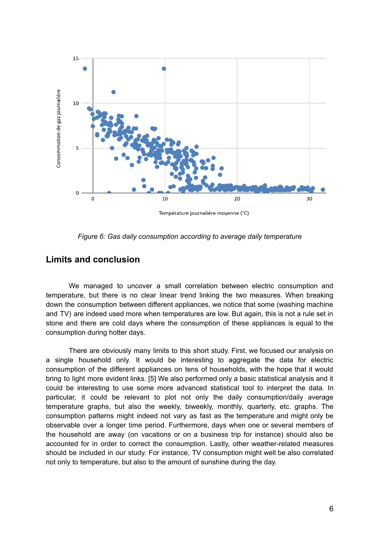

Température journalière moyenne (°C)

*Figure 6: Gas daily consumption according to average daily temperature*

## <span id="page-6-0"></span>**Limits and conclusion**

We managed to uncover a small correlation between electric consumption and temperature, but there is no clear linear trend linking the two measures. When breaking down the consumption between different appliances, we notice that some (washing machine and TV) are indeed used more when temperatures are low. But again, this is not a rule set in stone and there are cold days where the consumption of these appliances is equal to the consumption during hotter days.

There are obviously many limits to this short study. First, we focused our analysis on a single household only. It would be interesting to aggregate the data for electric consumption of the different appliances on tens of households, with the hope that it would bring to light more evident links. [\[5\]](https://www.zotero.org/google-docs/?eJP49v) We also performed only a basic statistical analysis and it could be interesting to use some more advanced statistical tool to interpret the data. In particular, it could be relevant to plot not only the daily consumption/daily average temperature graphs, but also the weekly, biweekly, monthly, quarterly, etc. graphs. The consumption patterns might indeed not vary as fast as the temperature and might only be observable over a longer time period. Furthermore, days when one or several members of the household are away (on vacations or on a business trip for instance) should also be accounted for in order to correct the consumption. Lastly, other weather-related measures should be included in our study. For instance, TV consumption might well be also correlated not only to temperature, but also to the amount of sunshine during the day.